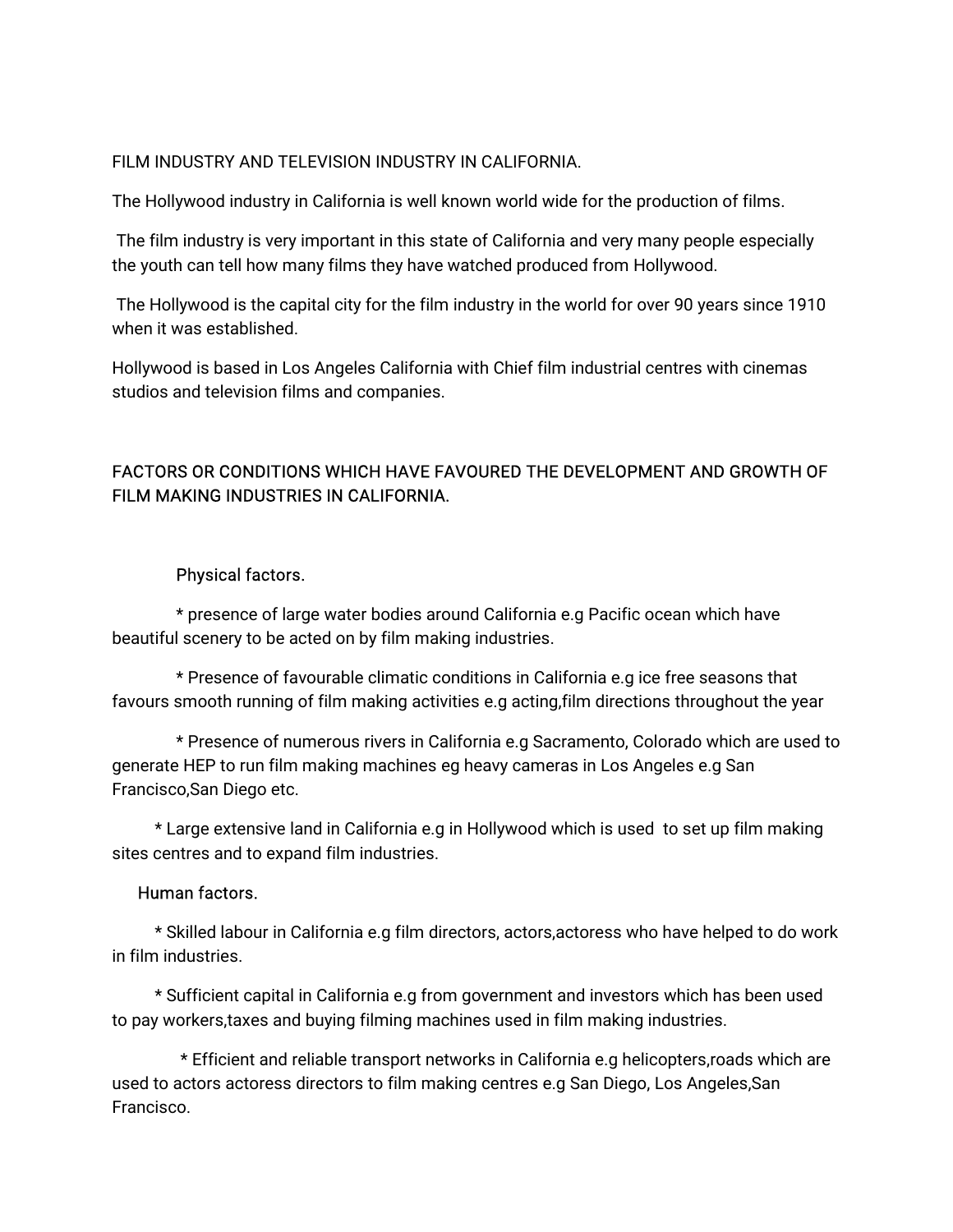#### FILM INDUSTRY AND TELEVISION INDUSTRY IN CALIFORNIA.

The Hollywood industry in California is well known world wide for the production of films.

The film industry is very important in this state of California and very many people especially the youth can tell how many films they have watched produced from Hollywood.

The Hollywood is the capital city for the film industry in the world for over 90 years since 1910 when it was established.

Hollywood is based in Los Angeles California with Chief film industrial centres with cinemas studios and television films and companies.

# FACTORS OR CONDITIONS WHICH HAVE FAVOURED THE DEVELOPMENT AND GROWTH OF FILM MAKING INDUSTRIES IN CALIFORNIA.

#### Physical factors.

\* presence of large water bodies around California e.g Pacific ocean which have beautiful scenery to be acted on by film making industries.

\* Presence of favourable climatic conditions in California e.g ice free seasons that favours smooth running of film making activities e.g acting, film directions throughout the year

\* Presence of numerous rivers in California e.g Sacramento, Colorado which are used to generate HEP to run film making machines eg heavy cameras in Los Angeles e.g San Francisco, San Diego etc.

\* Large extensive land in California e.g in Hollywood which is used to set up film making sites centres and to expand film industries.

#### Human factors.

\* Skilled labour in California e.g film directors, actors, actoress who have helped to do work in film industries.

\* Sufficient capital in California e.g from government and investors which has been used to pay workers, taxes and buying filming machines used in film making industries.

\* Efficient and reliable transport networks in California e.g helicopters, roads which are used to actors actoress directors to film making centres e.g San Diego, Los Angeles, San Francisco.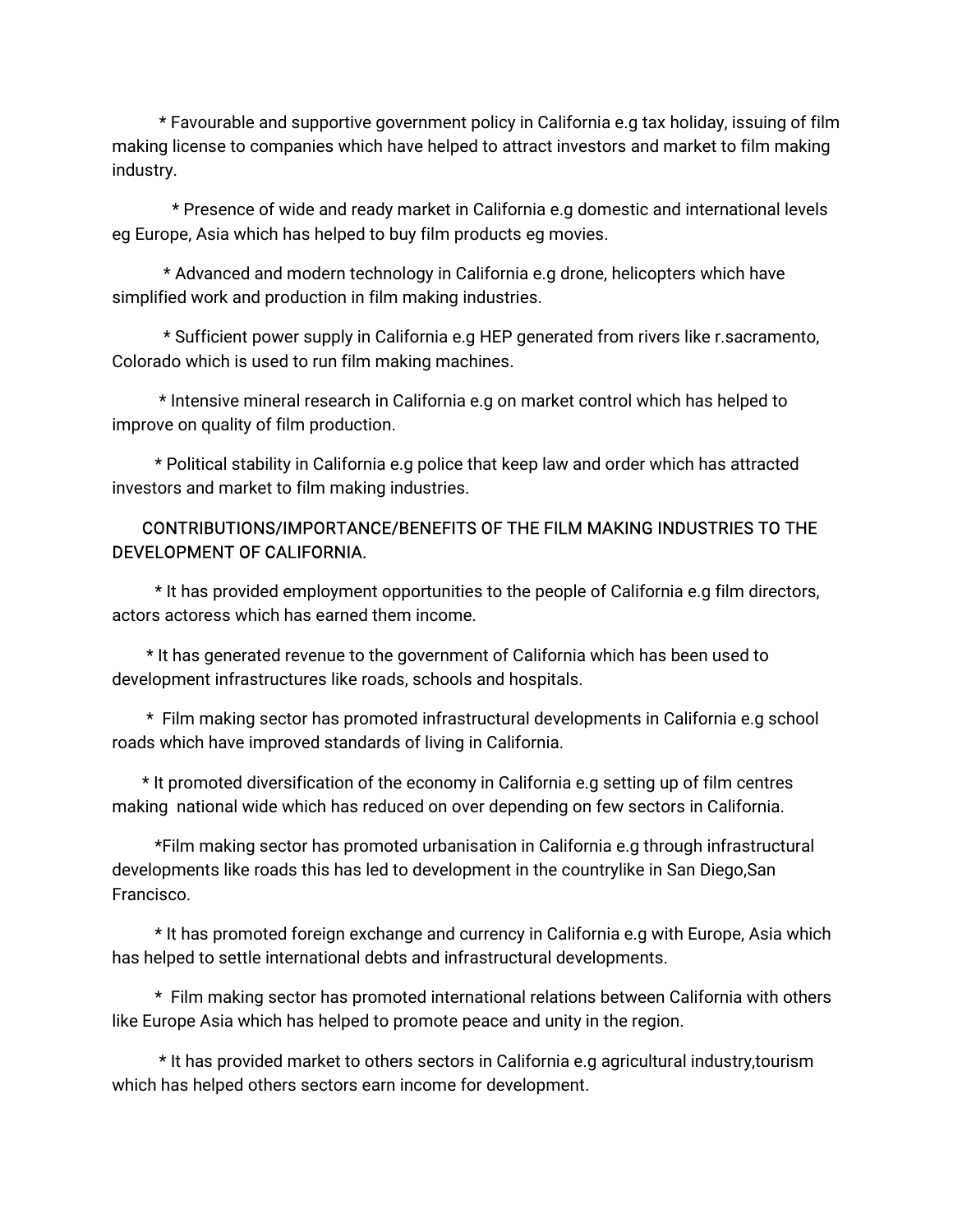\* Favourable and supportive government policy in California e.g tax holiday, issuing of film making license to companies which have helped to attract investors and market to film making industry.

\* Presence of wide and ready market in California e.g domestic and international levels eg Europe, Asia which has helped to buy film products eg movies.

\* Advanced and modern technology in California e.g drone, helicopters which have simplified work and production in film making industries.

\* Sufficient power supply in California e.g HEP generated from rivers like r.sacramento, Colorado which is used to run film making machines.

\* Intensive mineral research in California e.g on market control which has helped to improve on quality of film production.

\* Political stability in California e.g police that keep law and order which has attracted investors and market to film making industries.

### CONTRIBUTIONS/IMPORTANCE/BENEFITSOFTHEFILMMAKINGINDUSTRIESTOTHE DEVELOPMENT OF CALIFORNIA.

\* It has provided employment opportunities to the people of California e.g film directors, actors actoress which has earned them income.

\* It has generated revenue to the government of California which has been used to development infrastructures like roads, schools and hospitals.

\* Film making sector has promoted infrastructural developments in California e.g school roads which have improved standards of living in California.

\* It promoted diversification of the economy in California e.g setting up of film centres making national wide which has reduced on over depending on few sectors in California.

\*Film making sector has promoted urbanisation in California e.g through infrastructural developments like roads this has led to development in the countrylike in San Diego,San Francisco.

\* It has promoted foreign exchange and currency in California e.g with Europe, Asia which has helped to settle international debts and infrastructural developments.

\* Film making sector has promoted international relations between California with others like Europe Asia which has helped to promote peace and unity in the region.

\* It has provided market to others sectors in California e.g agricultural industry, tourism which has helped others sectors earn income for development.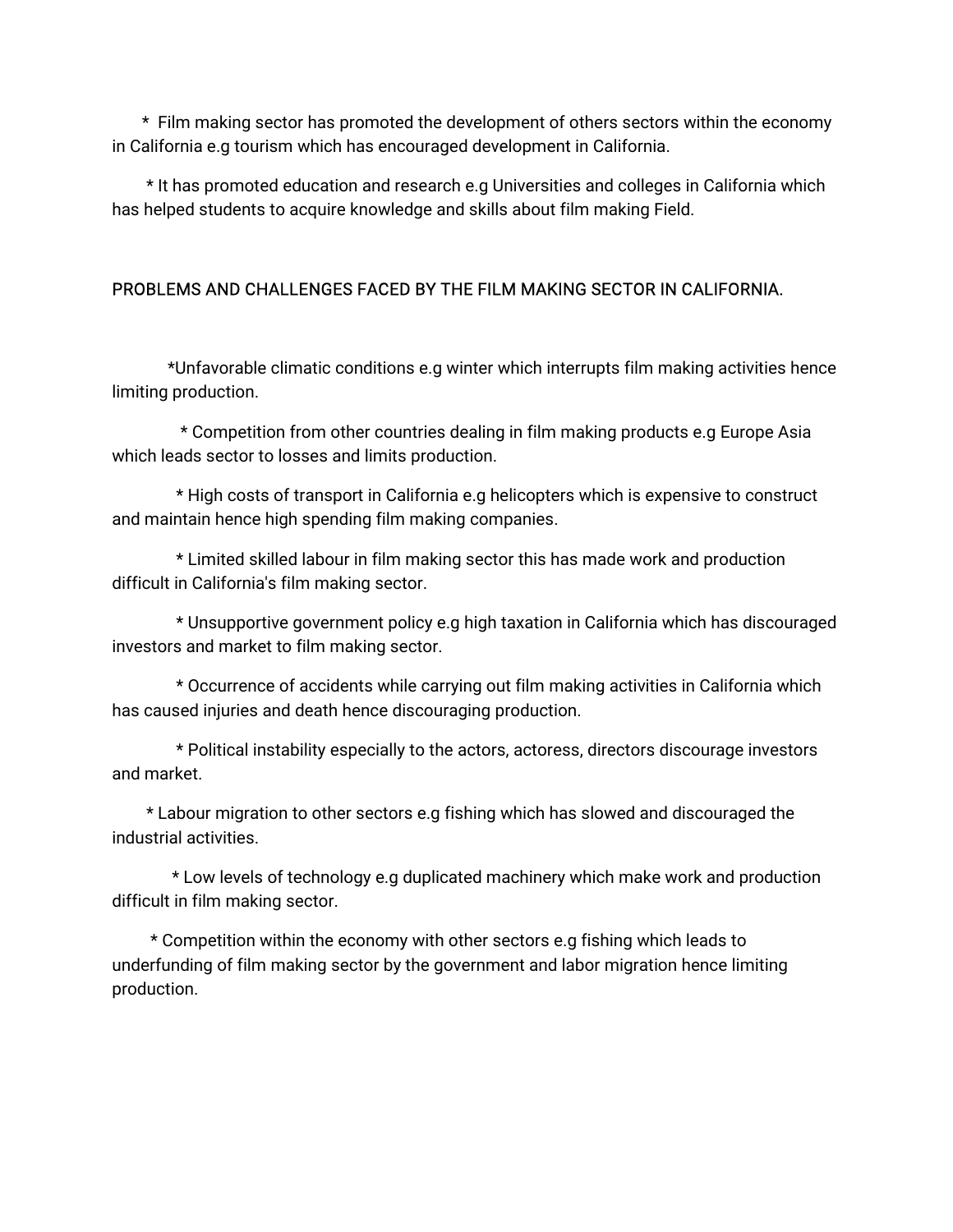\* Film making sector has promoted the development of others sectors within the economy in California e.g tourism which has encouraged development in California.

\*Ithaspromotededucationandresearche.gUniversitiesandcollegesinCaliforniawhich has helped students to acquire knowledge and skills about film making Field.

# PROBLEMS AND CHALLENGES FACED BY THE FILM MAKING SECTOR IN CALIFORNIA.

\*Unfavorableclimaticconditionse.gwinterwhichinterruptsfilmmakingactivitieshence limiting production.

\* Competition from other countries dealing in film making products e.g Europe Asia which leads sector to losses and limits production.

\* High costs of transport in California e.g helicopters which is expensive to construct and maintain hence high spending film making companies.

\* Limited skilled labour in film making sector this has made work and production difficult in California's film making sector.

\* Unsupportive government policy e.g high taxation in California which has discouraged investors and market to film making sector.

\* Occurrence of accidents while carrying out film making activities in California which has caused injuries and death hence discouraging production.

\* Political instability especially to the actors, actoress, directors discourage investors and market.

\* Labour migration to other sectors e.g fishing which has slowed and discouraged the industrial activities.

\* Low levels of technology e.g duplicated machinery which make work and production difficult in film making sector.

\* Competition within the economy with other sectors e.g fishing which leads to underfunding of film making sector by the government and labor migration hence limiting production.